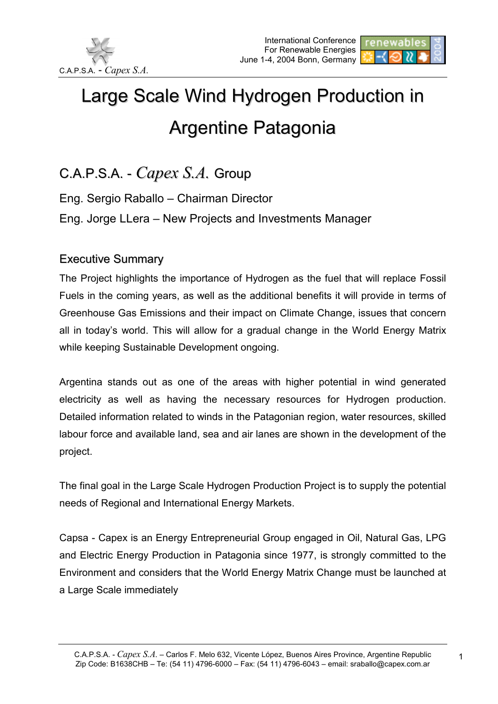



## Large Scale Wind Hydrogen Production in Argentine Patagonia

C.A.P.S.A. - *Capex S.A.* Group

Eng. Sergio Raballo – Chairman Director Eng. Jorge LLera – New Projects and Investments Manager

## Executive Summary

The Project highlights the importance of Hydrogen as the fuel that will replace Fossil Fuels in the coming years, as well as the additional benefits it will provide in terms of Greenhouse Gas Emissions and their impact on Climate Change, issues that concern all in today's world. This will allow for a gradual change in the World Energy Matrix while keeping Sustainable Development ongoing.

Argentina stands out as one of the areas with higher potential in wind generated electricity as well as having the necessary resources for Hydrogen production. Detailed information related to winds in the Patagonian region, water resources, skilled labour force and available land, sea and air lanes are shown in the development of the project.

The final goal in the Large Scale Hydrogen Production Project is to supply the potential needs of Regional and International Energy Markets.

Capsa - Capex is an Energy Entrepreneurial Group engaged in Oil, Natural Gas, LPG and Electric Energy Production in Patagonia since 1977, is strongly committed to the Environment and considers that the World Energy Matrix Change must be launched at a Large Scale immediately

1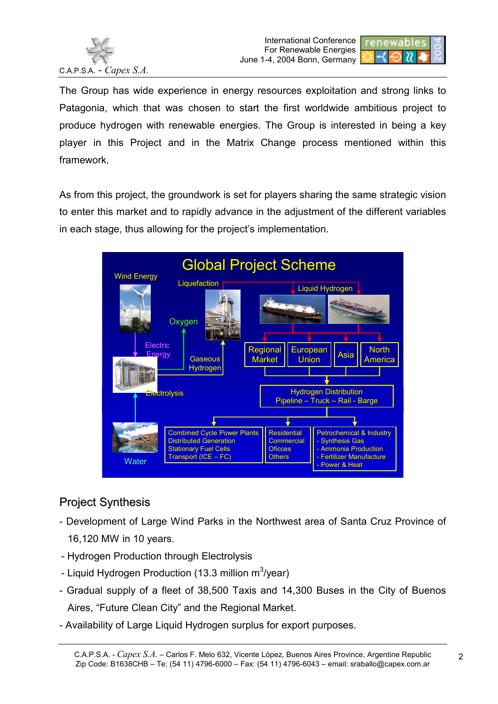



The Group has wide experience in energy resources exploitation and strong links to Patagonia, which that was chosen to start the first worldwide ambitious project to produce hydrogen with renewable energies. The Group is interested in being a key player in this Project and in the Matrix Change process mentioned within this framework.

As from this project, the groundwork is set for players sharing the same strategic vision to enter this market and to rapidly advance in the adjustment of the different variables in each stage, thus allowing for the project's implementation.



## Project Synthesis

- Development of Large Wind Parks in the Northwest area of Santa Cruz Province of 16,120 MW in 10 years.
- Hydrogen Production through Electrolysis
- Liquid Hydrogen Production (13.3 million m $3$ /year)
- Gradual supply of a fleet of 38,500 Taxis and 14,300 Buses in the City of Buenos Aires, "Future Clean City" and the Regional Market.
- Availability of Large Liquid Hydrogen surplus for export purposes.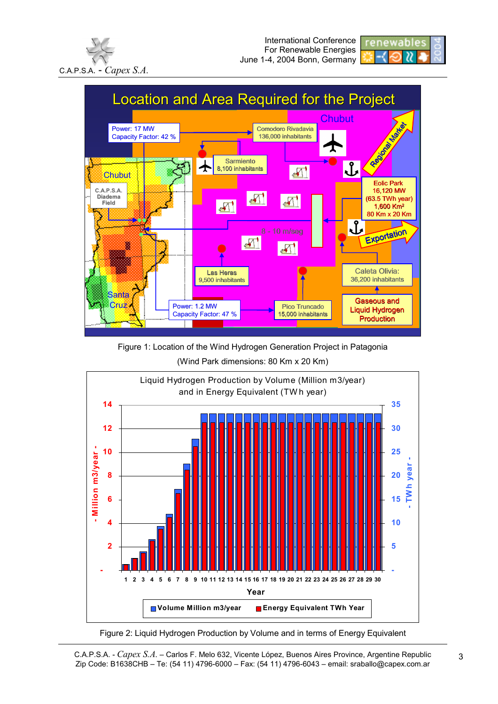





Figure 1: Location of the Wind Hydrogen Generation Project in Patagonia (Wind Park dimensions: 80 Km x 20 Km)





C.A.P.S.A. - *Capex S.A.* – Carlos F. Melo 632, Vicente López, Buenos Aires Province, Argentine Republic Zip Code: B1638CHB – Te: (54 11) 4796-6000 – Fax: (54 11) 4796-6043 – email: sraballo@capex.com.ar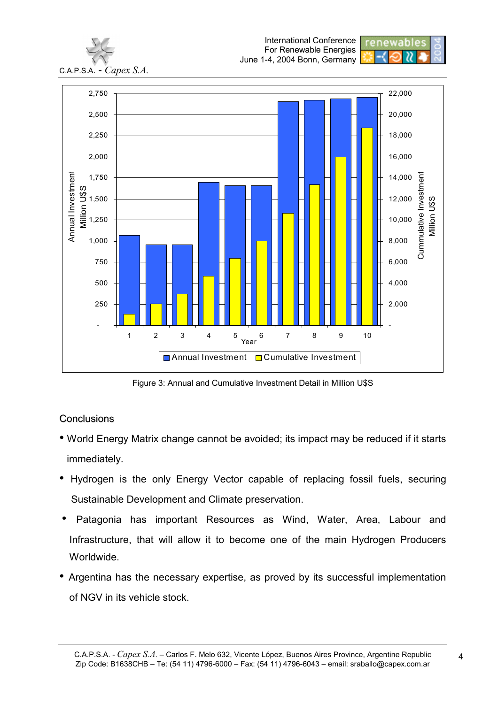

Figure 3: Annual and Cumulative Investment Detail in Million U\$S

## **Conclusions**

- World Energy Matrix change cannot be avoided; its impact may be reduced if it starts immediately.
- Hydrogen is the only Energy Vector capable of replacing fossil fuels, securing Sustainable Development and Climate preservation.
- Patagonia has important Resources as Wind, Water, Area, Labour and Infrastructure, that will allow it to become one of the main Hydrogen Producers Worldwide.
- Argentina has the necessary expertise, as proved by its successful implementation of NGV in its vehicle stock.